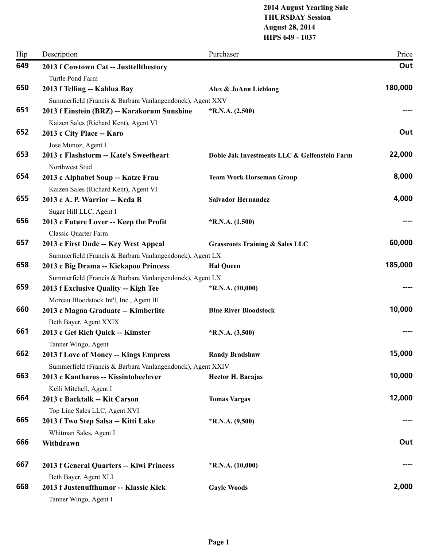### **2014 August Yearling Sale THURSDAY Session August 28, 2014 HIPS 649 - 1037**

| Hip | Description                                                         | Purchaser                                    | Price   |
|-----|---------------------------------------------------------------------|----------------------------------------------|---------|
| 649 | 2013 f Cowtown Cat -- Justtellthestory                              |                                              | Out     |
|     | Turtle Pond Farm                                                    |                                              |         |
| 650 | 2013 f Telling -- Kahlua Bay                                        | Alex & JoAnn Lieblong                        | 180,000 |
| 651 | Summerfield (Francis & Barbara Vanlangendonck), Agent XXV           |                                              |         |
|     | 2013 f Einstein (BRZ) -- Karakorum Sunshine                         | $*$ R.N.A. $(2,500)$                         |         |
| 652 | Kaizen Sales (Richard Kent), Agent VI<br>2013 c City Place -- Karo  |                                              | Out     |
|     | Jose Munoz, Agent I                                                 |                                              |         |
| 653 | 2013 c Flashstorm -- Kate's Sweetheart<br>Northwest Stud            | Doble Jak Investments LLC & Gelfenstein Farm | 22,000  |
| 654 | 2013 c Alphabet Soup -- Katze Frau                                  | <b>Team Work Horseman Group</b>              | 8,000   |
|     | Kaizen Sales (Richard Kent), Agent VI                               |                                              |         |
| 655 | 2013 c A. P. Warrior -- Keda B                                      | <b>Salvador Hernandez</b>                    | 4,000   |
| 656 | Sugar Hill LLC, Agent I                                             |                                              |         |
|     | 2013 c Future Lover -- Keep the Profit                              | $*R.N.A. (1,500)$                            |         |
| 657 | <b>Classic Quarter Farm</b><br>2013 c First Dude -- Key West Appeal | <b>Grassroots Training &amp; Sales LLC</b>   | 60,000  |
|     | Summerfield (Francis & Barbara Vanlangendonck), Agent LX            |                                              |         |
| 658 | 2013 c Big Drama -- Kickapoo Princess                               | <b>Hal Queen</b>                             | 185,000 |
|     | Summerfield (Francis & Barbara Vanlangendonck), Agent LX            |                                              |         |
| 659 | 2013 f Exclusive Quality -- Kigh Tee                                | $*R.N.A. (10,000)$                           |         |
|     | Moreau Bloodstock Int'l, Inc., Agent III                            |                                              |         |
| 660 | 2013 c Magna Graduate -- Kimberlite                                 | <b>Blue River Bloodstock</b>                 | 10,000  |
| 661 | Beth Bayer, Agent XXIX                                              |                                              |         |
|     | 2013 c Get Rich Quick -- Kimster<br>Tanner Wingo, Agent             | *R.N.A. (3,500)                              |         |
| 662 | 2013 f Love of Money -- Kings Empress                               | <b>Randy Bradshaw</b>                        | 15,000  |
|     | Summerfield (Francis & Barbara Vanlangendonck), Agent XXIV          |                                              |         |
| 663 | 2013 c Kantharos -- Kissintobeclever                                | <b>Hector H. Barajas</b>                     | 10,000  |
|     | Kelli Mitchell, Agent I                                             |                                              |         |
| 664 | 2013 c Backtalk -- Kit Carson                                       | <b>Tomas Vargas</b>                          | 12,000  |
|     | Top Line Sales LLC, Agent XVI                                       |                                              |         |
| 665 | 2013 f Two Step Salsa -- Kitti Lake                                 | $*R.N.A. (9,500)$                            |         |
| 666 | Whitman Sales, Agent I                                              |                                              | Out     |
|     | Withdrawn                                                           |                                              |         |
| 667 | 2013 f General Quarters -- Kiwi Princess                            | $*R.N.A. (10,000)$                           |         |
| 668 | Beth Bayer, Agent XLI<br>2013 f Justenuffhumor -- Klassic Kick      |                                              | 2,000   |
|     | Tanner Wingo, Agent I                                               | <b>Gayle Woods</b>                           |         |
|     |                                                                     |                                              |         |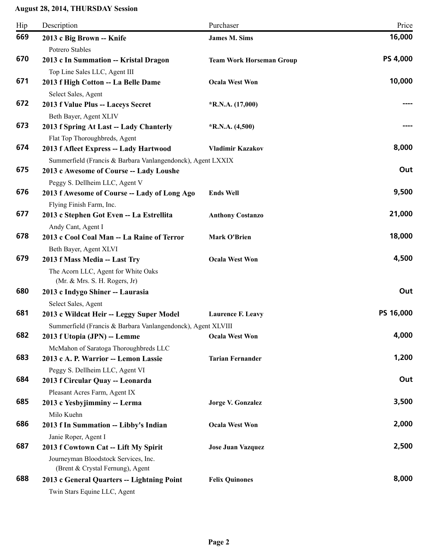| Hip | Description                                                                                                      | Purchaser                       | Price           |
|-----|------------------------------------------------------------------------------------------------------------------|---------------------------------|-----------------|
| 669 | 2013 c Big Brown -- Knife<br>Potrero Stables                                                                     | <b>James M. Sims</b>            | 16,000          |
| 670 | 2013 c In Summation -- Kristal Dragon<br>Top Line Sales LLC, Agent III                                           | <b>Team Work Horseman Group</b> | <b>PS 4,000</b> |
| 671 | 2013 f High Cotton -- La Belle Dame<br>Select Sales, Agent                                                       | <b>Ocala West Won</b>           | 10,000          |
| 672 | 2013 f Value Plus -- Laceys Secret<br>Beth Bayer, Agent XLIV                                                     | $*R.N.A. (17,000)$              |                 |
| 673 | 2013 f Spring At Last -- Lady Chanterly<br>Flat Top Thoroughbreds, Agent                                         | $*R.N.A. (4,500)$               |                 |
| 674 | 2013 f Afleet Express -- Lady Hartwood<br>Summerfield (Francis & Barbara Vanlangendonck), Agent LXXIX            | <b>Vladimir Kazakov</b>         | 8,000           |
| 675 | 2013 c Awesome of Course -- Lady Loushe<br>Peggy S. Dellheim LLC, Agent V                                        |                                 | Out             |
| 676 | 2013 f Awesome of Course -- Lady of Long Ago<br>Flying Finish Farm, Inc.                                         | <b>Ends Well</b>                | 9,500           |
| 677 | 2013 c Stephen Got Even -- La Estrellita<br>Andy Cant, Agent I                                                   | <b>Anthony Costanzo</b>         | 21,000          |
| 678 | 2013 c Cool Coal Man -- La Raine of Terror<br>Beth Bayer, Agent XLVI                                             | <b>Mark O'Brien</b>             | 18,000          |
| 679 | 2013 f Mass Media -- Last Try<br>The Acorn LLC, Agent for White Oaks<br>(Mr. & Mrs. S. H. Rogers, Jr)            | <b>Ocala West Won</b>           | 4,500           |
| 680 | 2013 c Indygo Shiner -- Laurasia<br>Select Sales, Agent                                                          |                                 | Out             |
| 681 | 2013 c Wildcat Heir -- Leggy Super Model<br>Summerfield (Francis & Barbara Vanlangendonck), Agent XLVIII         | <b>Laurence F. Leavy</b>        | PS 16,000       |
| 682 | 2013 f Utopia (JPN) -- Lemme<br>McMahon of Saratoga Thoroughbreds LLC                                            | <b>Ocala West Won</b>           | 4,000           |
| 683 | 2013 c A. P. Warrior -- Lemon Lassie<br>Peggy S. Dellheim LLC, Agent VI                                          | <b>Tarian Fernander</b>         | 1,200           |
| 684 | 2013 f Circular Quay -- Leonarda<br>Pleasant Acres Farm, Agent IX                                                |                                 | Out             |
| 685 | 2013 c Yesbyjimminy -- Lerma<br>Milo Kuehn                                                                       | <b>Jorge V. Gonzalez</b>        | 3,500           |
| 686 | 2013 f In Summation -- Libby's Indian<br>Janie Roper, Agent I                                                    | <b>Ocala West Won</b>           | 2,000           |
| 687 | 2013 f Cowtown Cat -- Lift My Spirit<br>Journeyman Bloodstock Services, Inc.<br>(Brent & Crystal Fernung), Agent | <b>Jose Juan Vazquez</b>        | 2,500           |
| 688 | 2013 c General Quarters -- Lightning Point<br>Twin Stars Equine LLC, Agent                                       | <b>Felix Quinones</b>           | 8,000           |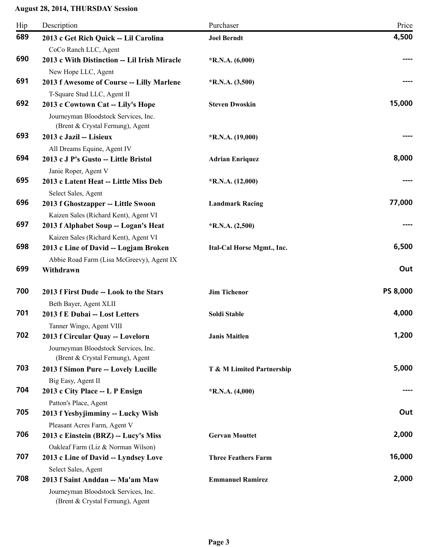| Hip | Description                                                              | Purchaser                  | Price           |
|-----|--------------------------------------------------------------------------|----------------------------|-----------------|
| 689 | 2013 c Get Rich Quick -- Lil Carolina                                    | <b>Joel Berndt</b>         | 4,500           |
|     | CoCo Ranch LLC, Agent                                                    |                            |                 |
| 690 | 2013 c With Distinction -- Lil Irish Miracle                             | $*R.N.A. (6,000)$          |                 |
|     | New Hope LLC, Agent                                                      |                            |                 |
| 691 | 2013 f Awesome of Course -- Lilly Marlene                                | $*R.N.A. (3,500)$          |                 |
|     | T-Square Stud LLC, Agent II                                              |                            |                 |
| 692 | 2013 c Cowtown Cat -- Lily's Hope                                        | <b>Steven Dwoskin</b>      | 15,000          |
|     | Journeyman Bloodstock Services, Inc.<br>(Brent & Crystal Fernung), Agent |                            |                 |
| 693 | 2013 c Jazil -- Lisieux                                                  | *R.N.A. (19,000)           |                 |
|     | All Dreams Equine, Agent IV                                              |                            |                 |
| 694 | 2013 c J P's Gusto -- Little Bristol                                     | <b>Adrian Enriquez</b>     | 8,000           |
|     | Janie Roper, Agent V                                                     |                            |                 |
| 695 | 2013 c Latent Heat -- Little Miss Deb                                    | $*R.N.A. (12,000)$         |                 |
|     | Select Sales, Agent                                                      |                            |                 |
| 696 | 2013 f Ghostzapper -- Little Swoon                                       | <b>Landmark Racing</b>     | 77,000          |
|     | Kaizen Sales (Richard Kent), Agent VI                                    |                            |                 |
| 697 | 2013 f Alphabet Soup -- Logan's Heat                                     | $*R.N.A. (2,500)$          |                 |
|     | Kaizen Sales (Richard Kent), Agent VI                                    |                            |                 |
| 698 | 2013 c Line of David -- Logjam Broken                                    | Ital-Cal Horse Mgmt., Inc. | 6,500           |
|     | Abbie Road Farm (Lisa McGreevy), Agent IX                                |                            |                 |
| 699 | Withdrawn                                                                |                            | Out             |
|     |                                                                          |                            |                 |
| 700 | 2013 f First Dude -- Look to the Stars                                   | <b>Jim Tichenor</b>        | <b>PS 8,000</b> |
|     | Beth Bayer, Agent XLII                                                   |                            |                 |
| 701 | 2013 f E Dubai -- Lost Letters                                           | Soldi Stable               | 4,000           |
|     | Tanner Wingo, Agent VIII                                                 |                            |                 |
| 702 | 2013 f Circular Quay -- Lovelorn                                         | <b>Janis Maitlen</b>       | 1,200           |
|     | Journeyman Bloodstock Services, Inc.                                     |                            |                 |
|     | (Brent & Crystal Fernung), Agent                                         |                            |                 |
| 703 | 2013 f Simon Pure -- Lovely Lucille                                      | T & M Limited Partnership  | 5,000           |
| 704 | Big Easy, Agent II                                                       |                            |                 |
|     | 2013 c City Place -- L P Ensign                                          | $*R.N.A. (4,000)$          |                 |
| 705 | Patton's Place, Agent                                                    |                            | Out             |
|     | 2013 f Yesbyjimminy -- Lucky Wish                                        |                            |                 |
| 706 | Pleasant Acres Farm, Agent V                                             |                            | 2,000           |
|     | 2013 c Einstein (BRZ) -- Lucy's Miss                                     | <b>Gervan Mouttet</b>      |                 |
| 707 | Oakleaf Farm (Liz & Norman Wilson)                                       |                            | 16,000          |
|     | 2013 c Line of David -- Lyndsey Love                                     | <b>Three Feathers Farm</b> |                 |
| 708 | Select Sales, Agent<br>2013 f Saint Anddan -- Ma'am Maw                  | <b>Emmanuel Ramirez</b>    | 2,000           |
|     |                                                                          |                            |                 |
|     | Journeyman Bloodstock Services, Inc.<br>(Brent & Crystal Fernung), Agent |                            |                 |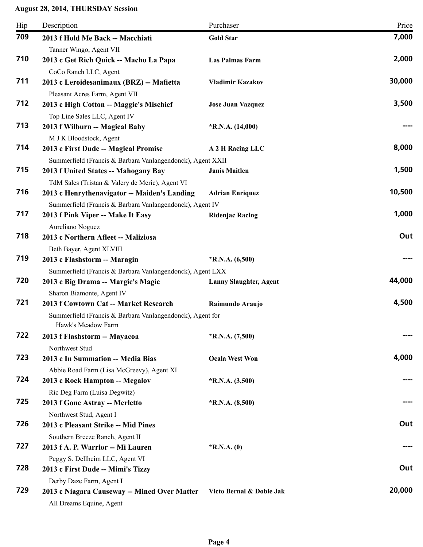| Hip | Description                                                | Purchaser                     | Price  |
|-----|------------------------------------------------------------|-------------------------------|--------|
| 709 | 2013 f Hold Me Back -- Macchiati                           | <b>Gold Star</b>              | 7,000  |
|     | Tanner Wingo, Agent VII                                    |                               |        |
| 710 | 2013 c Get Rich Quick -- Macho La Papa                     | <b>Las Palmas Farm</b>        | 2,000  |
|     | CoCo Ranch LLC, Agent                                      |                               |        |
| 711 | 2013 c Leroidesanimaux (BRZ) -- Mafietta                   | <b>Vladimir Kazakov</b>       | 30,000 |
|     | Pleasant Acres Farm, Agent VII                             |                               |        |
| 712 | 2013 c High Cotton -- Maggie's Mischief                    | <b>Jose Juan Vazquez</b>      | 3,500  |
|     | Top Line Sales LLC, Agent IV                               |                               |        |
| 713 | 2013 f Wilburn -- Magical Baby                             | $*R.N.A. (14,000)$            |        |
|     | M J K Bloodstock, Agent                                    |                               |        |
| 714 | 2013 c First Dude -- Magical Promise                       | A 2 H Racing LLC              | 8,000  |
|     | Summerfield (Francis & Barbara Vanlangendonck), Agent XXII |                               |        |
| 715 | 2013 f United States -- Mahogany Bay                       | <b>Janis Maitlen</b>          | 1,500  |
|     | TdM Sales (Tristan & Valery de Meric), Agent VI            |                               |        |
| 716 | 2013 c Henrythenavigator -- Maiden's Landing               | <b>Adrian Enriquez</b>        | 10,500 |
|     | Summerfield (Francis & Barbara Vanlangendonck), Agent IV   |                               |        |
| 717 | 2013 f Pink Viper -- Make It Easy                          | <b>Ridenjac Racing</b>        | 1,000  |
|     | Aureliano Noguez                                           |                               |        |
| 718 | 2013 c Northern Afleet -- Maliziosa                        |                               | Out    |
|     | Beth Bayer, Agent XLVIII                                   |                               |        |
| 719 | 2013 c Flashstorm -- Maragin                               | $*R.N.A. (6,500)$             |        |
|     | Summerfield (Francis & Barbara Vanlangendonck), Agent LXX  |                               |        |
| 720 | 2013 c Big Drama -- Margie's Magic                         | <b>Lanny Slaughter, Agent</b> | 44,000 |
|     | Sharon Biamonte, Agent IV                                  |                               |        |
| 721 | 2013 f Cowtown Cat -- Market Research                      | Raimundo Araujo               | 4,500  |
|     | Summerfield (Francis & Barbara Vanlangendonck), Agent for  |                               |        |
|     | Hawk's Meadow Farm                                         |                               |        |
| 722 | 2013 f Flashstorm -- Mayacoa                               | $*$ R.N.A. $(7,500)$          |        |
|     | Northwest Stud                                             |                               |        |
| 723 | 2013 c In Summation -- Media Bias                          | <b>Ocala West Won</b>         | 4,000  |
|     | Abbie Road Farm (Lisa McGreevy), Agent XI                  |                               |        |
| 724 | 2013 c Rock Hampton -- Megalov                             | $*R.N.A. (3,500)$             |        |
|     | Ric Deg Farm (Luisa Degwitz)                               |                               |        |
| 725 | 2013 f Gone Astray -- Merletto                             | $*R.N.A. (8,500)$             |        |
|     | Northwest Stud, Agent I                                    |                               |        |
| 726 | 2013 c Pleasant Strike -- Mid Pines                        |                               | Out    |
|     | Southern Breeze Ranch, Agent II                            |                               |        |
| 727 | 2013 f A. P. Warrior -- Mi Lauren                          | $*$ R.N.A. $(0)$              |        |
|     |                                                            |                               |        |
| 728 | Peggy S. Dellheim LLC, Agent VI                            |                               | Out    |
|     | 2013 c First Dude -- Mimi's Tizzy                          |                               |        |
| 729 | Derby Daze Farm, Agent I                                   |                               | 20,000 |
|     | 2013 c Niagara Causeway -- Mined Over Matter               | Victo Bernal & Doble Jak      |        |
|     | All Dreams Equine, Agent                                   |                               |        |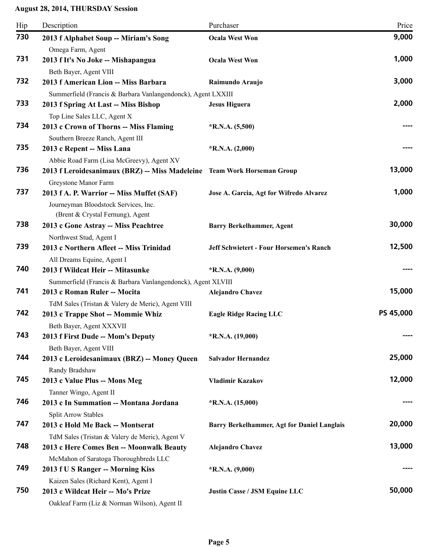| Hip | Description                                                                                                               | Purchaser                                      | Price     |
|-----|---------------------------------------------------------------------------------------------------------------------------|------------------------------------------------|-----------|
| 730 | 2013 f Alphabet Soup -- Miriam's Song                                                                                     | <b>Ocala West Won</b>                          | 9,000     |
| 731 | Omega Farm, Agent<br>2013 f It's No Joke -- Mishapangua                                                                   | <b>Ocala West Won</b>                          | 1,000     |
| 732 | Beth Bayer, Agent VIII<br>2013 f American Lion -- Miss Barbara                                                            | Raimundo Araujo                                | 3,000     |
| 733 | Summerfield (Francis & Barbara Vanlangendonck), Agent LXXIII<br>2013 f Spring At Last -- Miss Bishop                      | <b>Jesus Higuera</b>                           | 2,000     |
|     | Top Line Sales LLC, Agent X                                                                                               |                                                |           |
| 734 | 2013 c Crown of Thorns -- Miss Flaming                                                                                    | $*R.N.A. (5,500)$                              |           |
| 735 | Southern Breeze Ranch, Agent III<br>2013 c Repent -- Miss Lana                                                            | $*R.N.A. (2,000)$                              |           |
|     | Abbie Road Farm (Lisa McGreevy), Agent XV                                                                                 |                                                |           |
| 736 | 2013 f Leroidesanimaux (BRZ) -- Miss Madeleine Team Work Horseman Group                                                   |                                                | 13,000    |
| 737 | Greystone Manor Farm<br>2013 f A. P. Warrior -- Miss Muffet (SAF)<br>Journeyman Bloodstock Services, Inc.                 | Jose A. Garcia, Agt for Wifredo Alvarez        | 1,000     |
| 738 | (Brent & Crystal Fernung), Agent<br>2013 c Gone Astray -- Miss Peachtree                                                  | <b>Barry Berkelhammer, Agent</b>               | 30,000    |
|     | Northwest Stud, Agent I                                                                                                   |                                                |           |
| 739 | 2013 c Northern Afleet -- Miss Trinidad                                                                                   | <b>Jeff Schwietert - Four Horsemen's Ranch</b> | 12,500    |
| 740 | All Dreams Equine, Agent I                                                                                                |                                                |           |
|     | 2013 f Wildcat Heir -- Mitasunke                                                                                          | $*R.N.A. (9,000)$                              |           |
| 741 | Summerfield (Francis & Barbara Vanlangendonck), Agent XLVIII<br>2013 c Roman Ruler -- Mocita                              |                                                | 15,000    |
|     |                                                                                                                           | <b>Alejandro Chavez</b>                        |           |
| 742 | TdM Sales (Tristan & Valery de Meric), Agent VIII<br>2013 c Trappe Shot -- Mommie Whiz                                    | <b>Eagle Ridge Racing LLC</b>                  | PS 45,000 |
|     | Beth Bayer, Agent XXXVII                                                                                                  |                                                |           |
| 743 | 2013 f First Dude -- Mom's Deputy<br>Beth Bayer, Agent VIII                                                               | $*R.N.A. (19,000)$                             |           |
| 744 | 2013 c Leroidesanimaux (BRZ) -- Money Queen<br>Randy Bradshaw                                                             | <b>Salvador Hernandez</b>                      | 25,000    |
| 745 | 2013 c Value Plus -- Mons Meg                                                                                             | <b>Vladimir Kazakov</b>                        | 12,000    |
|     | Tanner Wingo, Agent II                                                                                                    |                                                |           |
| 746 | 2013 c In Summation -- Montana Jordana<br><b>Split Arrow Stables</b>                                                      | $*$ R.N.A. $(15,000)$                          |           |
| 747 | 2013 c Hold Me Back -- Montserat                                                                                          | Barry Berkelhammer, Agt for Daniel Langlais    | 20,000    |
|     | TdM Sales (Tristan & Valery de Meric), Agent V                                                                            |                                                |           |
| 748 | 2013 c Here Comes Ben -- Moonwalk Beauty                                                                                  | <b>Alejandro Chavez</b>                        | 13,000    |
| 749 | McMahon of Saratoga Thoroughbreds LLC<br>2013 f U S Ranger -- Morning Kiss                                                | $*$ R.N.A. $(9,000)$                           |           |
| 750 | Kaizen Sales (Richard Kent), Agent I<br>2013 c Wildcat Heir -- Mo's Prize<br>Oakleaf Farm (Liz & Norman Wilson), Agent II | <b>Justin Casse / JSM Equine LLC</b>           | 50,000    |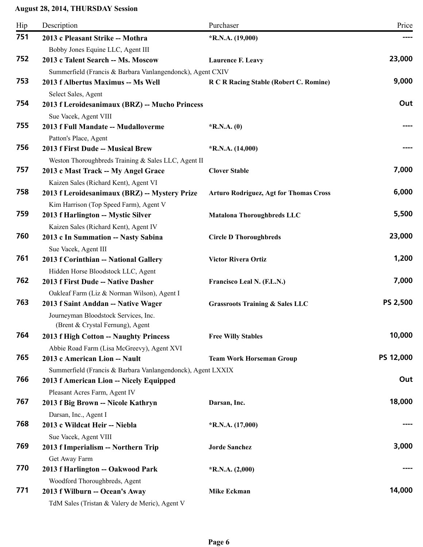| Hip | Description                                                  | Purchaser                                     | Price     |
|-----|--------------------------------------------------------------|-----------------------------------------------|-----------|
| 751 | 2013 c Pleasant Strike -- Mothra                             | $*R.N.A. (19,000)$                            |           |
|     | Bobby Jones Equine LLC, Agent III                            |                                               |           |
| 752 | 2013 c Talent Search -- Ms. Moscow                           | <b>Laurence F. Leavy</b>                      | 23,000    |
|     | Summerfield (Francis & Barbara Vanlangendonck), Agent CXIV   |                                               |           |
| 753 | 2013 f Albertus Maximus -- Ms Well                           | R C R Racing Stable (Robert C. Romine)        | 9,000     |
|     | Select Sales, Agent                                          |                                               |           |
| 754 | 2013 f Leroidesanimaux (BRZ) -- Mucho Princess               |                                               | Out       |
|     | Sue Vacek, Agent VIII                                        |                                               |           |
| 755 | 2013 f Full Mandate -- Mudalloverme                          | $*$ R.N.A. $(0)$                              |           |
|     | Patton's Place, Agent                                        |                                               |           |
| 756 | 2013 f First Dude -- Musical Brew                            | $*R.N.A. (14,000)$                            |           |
|     | Weston Thoroughbreds Training & Sales LLC, Agent II          |                                               |           |
| 757 | 2013 c Mast Track -- My Angel Grace                          | <b>Clover Stable</b>                          | 7,000     |
|     | Kaizen Sales (Richard Kent), Agent VI                        |                                               |           |
| 758 | 2013 f Leroidesanimaux (BRZ) -- Mystery Prize                | <b>Arturo Rodriguez, Agt for Thomas Cross</b> | 6,000     |
|     | Kim Harrison (Top Speed Farm), Agent V                       |                                               |           |
| 759 | 2013 f Harlington -- Mystic Silver                           | <b>Matalona Thoroughbreds LLC</b>             | 5,500     |
|     | Kaizen Sales (Richard Kent), Agent IV                        |                                               |           |
| 760 | 2013 c In Summation -- Nasty Sabina                          | <b>Circle D Thoroughbreds</b>                 | 23,000    |
|     | Sue Vacek, Agent III                                         |                                               |           |
| 761 | 2013 f Corinthian -- National Gallery                        | <b>Victor Rivera Ortiz</b>                    | 1,200     |
|     | Hidden Horse Bloodstock LLC, Agent                           |                                               |           |
| 762 | 2013 f First Dude -- Native Dasher                           | Francisco Leal N. (F.L.N.)                    | 7,000     |
|     | Oakleaf Farm (Liz & Norman Wilson), Agent I                  |                                               |           |
| 763 | 2013 f Saint Anddan -- Native Wager                          | <b>Grassroots Training &amp; Sales LLC</b>    | PS 2,500  |
|     | Journeyman Bloodstock Services, Inc.                         |                                               |           |
|     | (Brent & Crystal Fernung), Agent                             |                                               |           |
| 764 | 2013 f High Cotton -- Naughty Princess                       | <b>Free Willy Stables</b>                     | 10,000    |
|     | Abbie Road Farm (Lisa McGreevy), Agent XVI                   |                                               |           |
| 765 | 2013 c American Lion -- Nault                                | <b>Team Work Horseman Group</b>               | PS 12,000 |
| 766 | Summerfield (Francis & Barbara Vanlangendonck), Agent LXXIX  |                                               | Out       |
|     | 2013 f American Lion -- Nicely Equipped                      |                                               |           |
| 767 | Pleasant Acres Farm, Agent IV                                |                                               | 18,000    |
|     | 2013 f Big Brown -- Nicole Kathryn                           | Darsan, Inc.                                  |           |
| 768 | Darsan, Inc., Agent I<br>2013 c Wildcat Heir -- Niebla       |                                               |           |
|     |                                                              | $*$ R.N.A. $(17,000)$                         |           |
| 769 | Sue Vacek, Agent VIII<br>2013 f Imperialism -- Northern Trip | <b>Jorde Sanchez</b>                          | 3,000     |
|     |                                                              |                                               |           |
| 770 | Get Away Farm<br>2013 f Harlington -- Oakwood Park           |                                               |           |
|     | Woodford Thoroughbreds, Agent                                | $*$ R.N.A. $(2,000)$                          |           |
| 771 | 2013 f Wilburn -- Ocean's Away                               | <b>Mike Eckman</b>                            | 14,000    |
|     | TdM Sales (Tristan & Valery de Meric), Agent V               |                                               |           |
|     |                                                              |                                               |           |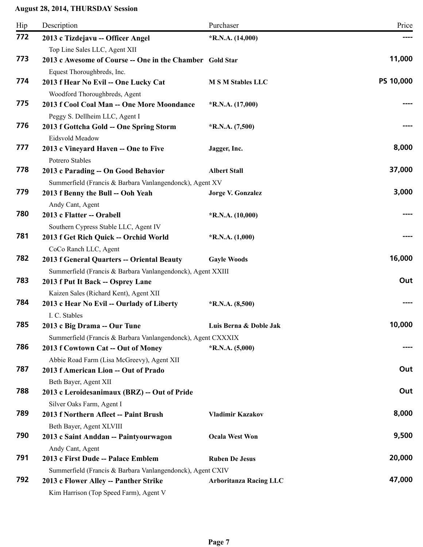| Hip | Description                                                  | Purchaser                     | Price     |
|-----|--------------------------------------------------------------|-------------------------------|-----------|
| 772 | 2013 c Tizdejavu -- Officer Angel                            | $*R.N.A. (14,000)$            |           |
|     | Top Line Sales LLC, Agent XII                                |                               |           |
| 773 | 2013 c Awesome of Course -- One in the Chamber Gold Star     |                               | 11,000    |
|     | Equest Thoroughbreds, Inc.                                   |                               |           |
| 774 | 2013 f Hear No Evil -- One Lucky Cat                         | <b>M S M Stables LLC</b>      | PS 10,000 |
|     | Woodford Thoroughbreds, Agent                                |                               |           |
| 775 | 2013 f Cool Coal Man -- One More Moondance                   | $*R.N.A. (17,000)$            |           |
|     | Peggy S. Dellheim LLC, Agent I                               |                               |           |
| 776 | 2013 f Gottcha Gold -- One Spring Storm                      | $*R.N.A. (7,500)$             |           |
|     | Eidsvold Meadow                                              |                               |           |
| 777 | 2013 c Vineyard Haven -- One to Five                         | Jagger, Inc.                  | 8,000     |
|     | Potrero Stables                                              |                               |           |
| 778 | 2013 c Parading -- On Good Behavior                          | <b>Albert Stall</b>           | 37,000    |
|     | Summerfield (Francis & Barbara Vanlangendonck), Agent XV     |                               |           |
| 779 | 2013 f Benny the Bull -- Ooh Yeah                            | <b>Jorge V. Gonzalez</b>      | 3,000     |
|     | Andy Cant, Agent                                             |                               |           |
| 780 | 2013 c Flatter -- Orabell                                    | $*R.N.A. (10,000)$            |           |
|     | Southern Cypress Stable LLC, Agent IV                        |                               |           |
| 781 | 2013 f Get Rich Quick -- Orchid World                        | $*$ R.N.A. $(1,000)$          |           |
|     | CoCo Ranch LLC, Agent                                        |                               |           |
| 782 | 2013 f General Quarters -- Oriental Beauty                   | <b>Gayle Woods</b>            | 16,000    |
|     | Summerfield (Francis & Barbara Vanlangendonck), Agent XXIII  |                               |           |
| 783 | 2013 f Put It Back -- Osprey Lane                            |                               | Out       |
|     | Kaizen Sales (Richard Kent), Agent XII                       |                               |           |
| 784 | 2013 c Hear No Evil -- Ourlady of Liberty                    | $*R.N.A. (8,500)$             |           |
|     | I. C. Stables                                                |                               |           |
| 785 | 2013 c Big Drama -- Our Tune                                 | Luis Berna & Doble Jak        | 10,000    |
|     | Summerfield (Francis & Barbara Vanlangendonck), Agent CXXXIX |                               |           |
| 786 | 2013 f Cowtown Cat -- Out of Money                           | $*R.N.A. (5,000)$             |           |
|     | Abbie Road Farm (Lisa McGreevy), Agent XII                   |                               |           |
| 787 | 2013 f American Lion -- Out of Prado                         |                               | Out       |
|     | Beth Bayer, Agent XII                                        |                               |           |
| 788 | 2013 c Leroidesanimaux (BRZ) -- Out of Pride                 |                               | Out       |
|     | Silver Oaks Farm, Agent I                                    |                               |           |
| 789 | 2013 f Northern Afleet -- Paint Brush                        | <b>Vladimir Kazakov</b>       | 8,000     |
|     | Beth Bayer, Agent XLVIII                                     |                               |           |
| 790 | 2013 c Saint Anddan -- Paintyourwagon                        | <b>Ocala West Won</b>         | 9,500     |
|     | Andy Cant, Agent                                             |                               |           |
| 791 | 2013 c First Dude -- Palace Emblem                           | <b>Ruben De Jesus</b>         | 20,000    |
|     | Summerfield (Francis & Barbara Vanlangendonck), Agent CXIV   |                               |           |
| 792 | 2013 c Flower Alley -- Panther Strike                        | <b>Arboritanza Racing LLC</b> | 47,000    |
|     | Kim Harrison (Top Speed Farm), Agent V                       |                               |           |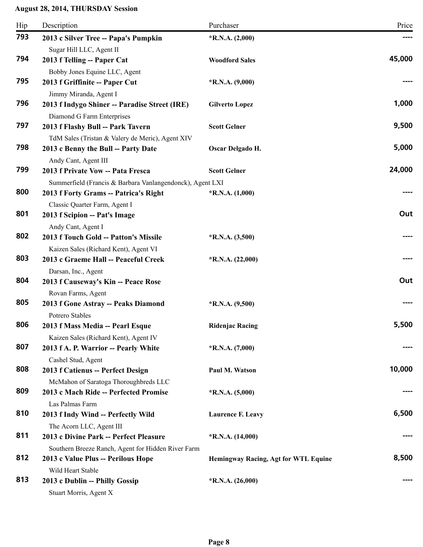| Hip | Description                                               | Purchaser                            | Price  |
|-----|-----------------------------------------------------------|--------------------------------------|--------|
| 793 | 2013 c Silver Tree -- Papa's Pumpkin                      | $*R.N.A. (2,000)$                    |        |
|     | Sugar Hill LLC, Agent II                                  |                                      |        |
| 794 | 2013 f Telling -- Paper Cat                               | <b>Woodford Sales</b>                | 45,000 |
|     | Bobby Jones Equine LLC, Agent                             |                                      |        |
| 795 | 2013 f Griffinite -- Paper Cut                            | $*R.N.A. (9,000)$                    |        |
|     | Jimmy Miranda, Agent I                                    |                                      |        |
| 796 | 2013 f Indygo Shiner -- Paradise Street (IRE)             | <b>Gilverto Lopez</b>                | 1,000  |
|     | Diamond G Farm Enterprises                                |                                      |        |
| 797 | 2013 f Flashy Bull -- Park Tavern                         | <b>Scott Gelner</b>                  | 9,500  |
|     | TdM Sales (Tristan & Valery de Meric), Agent XIV          |                                      |        |
| 798 | 2013 c Benny the Bull -- Party Date                       | Oscar Delgado H.                     | 5,000  |
|     | Andy Cant, Agent III                                      |                                      |        |
| 799 | 2013 f Private Vow -- Pata Fresca                         | <b>Scott Gelner</b>                  | 24,000 |
|     | Summerfield (Francis & Barbara Vanlangendonck), Agent LXI |                                      |        |
| 800 | 2013 f Forty Grams -- Patrica's Right                     | $*$ R.N.A. $(1,000)$                 |        |
|     | Classic Quarter Farm, Agent I                             |                                      |        |
| 801 | 2013 f Scipion -- Pat's Image                             |                                      | Out    |
|     | Andy Cant, Agent I                                        |                                      |        |
| 802 | 2013 f Touch Gold -- Patton's Missile                     | $*R.N.A. (3,500)$                    |        |
|     | Kaizen Sales (Richard Kent), Agent VI                     |                                      |        |
| 803 | 2013 c Graeme Hall -- Peaceful Creek                      | $*R.N.A. (22,000)$                   |        |
|     | Darsan, Inc., Agent                                       |                                      |        |
| 804 | 2013 f Causeway's Kin -- Peace Rose                       |                                      | Out    |
|     | Rovan Farms, Agent                                        |                                      |        |
| 805 | 2013 f Gone Astray -- Peaks Diamond                       | $*R.N.A. (9,500)$                    |        |
|     | Potrero Stables                                           |                                      |        |
| 806 | 2013 f Mass Media -- Pearl Esque                          | <b>Ridenjac Racing</b>               | 5,500  |
|     | Kaizen Sales (Richard Kent), Agent IV                     |                                      |        |
| 807 | 2013 f A. P. Warrior -- Pearly White                      | $*R.N.A. (7,000)$                    |        |
|     | Cashel Stud, Agent                                        |                                      |        |
| 808 | 2013 f Catienus -- Perfect Design                         | Paul M. Watson                       | 10,000 |
|     | McMahon of Saratoga Thoroughbreds LLC                     |                                      |        |
| 809 | 2013 c Mach Ride -- Perfected Promise                     | $*R.N.A. (5,000)$                    |        |
|     | Las Palmas Farm                                           |                                      |        |
| 810 | 2013 f Indy Wind -- Perfectly Wild                        | <b>Laurence F. Leavy</b>             | 6,500  |
|     | The Acorn LLC, Agent III                                  |                                      |        |
| 811 | 2013 c Divine Park -- Perfect Pleasure                    | $*R.N.A. (14,000)$                   |        |
|     | Southern Breeze Ranch, Agent for Hidden River Farm        |                                      |        |
| 812 | 2013 c Value Plus -- Perilous Hope                        | Hemingway Racing, Agt for WTL Equine | 8,500  |
|     | Wild Heart Stable                                         |                                      |        |
| 813 | 2013 c Dublin -- Philly Gossip                            | $*R.N.A. (26,000)$                   |        |
|     | Stuart Morris, Agent X                                    |                                      |        |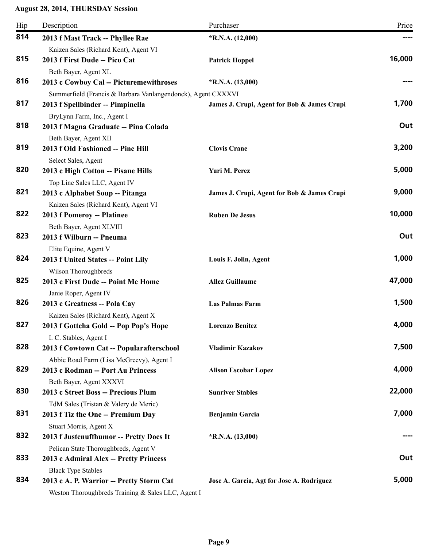| Hip | Description                                                    | Purchaser                                   | Price  |
|-----|----------------------------------------------------------------|---------------------------------------------|--------|
| 814 | 2013 f Mast Track -- Phyllee Rae                               | $*R.N.A. (12,000)$                          |        |
|     | Kaizen Sales (Richard Kent), Agent VI                          |                                             |        |
| 815 | 2013 f First Dude -- Pico Cat                                  | <b>Patrick Hoppel</b>                       | 16,000 |
|     | Beth Bayer, Agent XL                                           |                                             |        |
| 816 | 2013 c Cowboy Cal -- Picturemewithroses                        | $*R.N.A. (13,000)$                          |        |
|     | Summerfield (Francis & Barbara Vanlangendonck), Agent CXXXVI   |                                             |        |
| 817 | 2013 f Spellbinder -- Pimpinella                               | James J. Crupi, Agent for Bob & James Crupi | 1,700  |
|     | BryLynn Farm, Inc., Agent I                                    |                                             |        |
| 818 | 2013 f Magna Graduate -- Pina Colada                           |                                             | Out    |
| 819 | Beth Bayer, Agent XII                                          |                                             | 3,200  |
|     | 2013 f Old Fashioned -- Pine Hill                              | <b>Clovis Crane</b>                         |        |
| 820 | Select Sales, Agent<br>2013 c High Cotton -- Pisane Hills      | Yuri M. Perez                               | 5,000  |
|     | Top Line Sales LLC, Agent IV                                   |                                             |        |
| 821 | 2013 c Alphabet Soup -- Pitanga                                | James J. Crupi, Agent for Bob & James Crupi | 9,000  |
|     | Kaizen Sales (Richard Kent), Agent VI                          |                                             |        |
| 822 | 2013 f Pomeroy -- Platinee                                     | <b>Ruben De Jesus</b>                       | 10,000 |
|     | Beth Bayer, Agent XLVIII                                       |                                             |        |
| 823 | 2013 f Wilburn -- Pneuma                                       |                                             | Out    |
|     | Elite Equine, Agent V                                          |                                             |        |
| 824 | 2013 f United States -- Point Lily                             | Louis F. Jolin, Agent                       | 1,000  |
|     | Wilson Thoroughbreds                                           |                                             |        |
| 825 | 2013 c First Dude -- Point Me Home                             | <b>Allez Guillaume</b>                      | 47,000 |
|     | Janie Roper, Agent IV                                          |                                             |        |
| 826 | 2013 c Greatness -- Pola Cay                                   | <b>Las Palmas Farm</b>                      | 1,500  |
|     | Kaizen Sales (Richard Kent), Agent X                           |                                             |        |
| 827 | 2013 f Gottcha Gold -- Pop Pop's Hope                          | <b>Lorenzo Benitez</b>                      | 4,000  |
|     | I. C. Stables, Agent I                                         |                                             |        |
| 828 | 2013 f Cowtown Cat -- Popularafterschool                       | <b>Vladimir Kazakov</b>                     | 7,500  |
|     | Abbie Road Farm (Lisa McGreevy), Agent I                       |                                             |        |
| 829 | 2013 c Rodman -- Port Au Princess                              | <b>Alison Escobar Lopez</b>                 | 4,000  |
| 830 | Beth Bayer, Agent XXXVI<br>2013 c Street Boss -- Precious Plum | <b>Sunriver Stables</b>                     | 22,000 |
|     | TdM Sales (Tristan & Valery de Meric)                          |                                             |        |
| 831 | 2013 f Tiz the One -- Premium Day                              | <b>Benjamin Garcia</b>                      | 7,000  |
|     | Stuart Morris, Agent X                                         |                                             |        |
| 832 | 2013 f Justenuffhumor -- Pretty Does It                        | $*R.N.A. (13,000)$                          |        |
|     | Pelican State Thoroughbreds, Agent V                           |                                             |        |
| 833 | 2013 c Admiral Alex -- Pretty Princess                         |                                             | Out    |
|     | <b>Black Type Stables</b>                                      |                                             |        |
| 834 | 2013 c A. P. Warrior -- Pretty Storm Cat                       | Jose A. Garcia, Agt for Jose A. Rodriguez   | 5,000  |
|     | Weston Thoroughbreds Training & Sales LLC, Agent I             |                                             |        |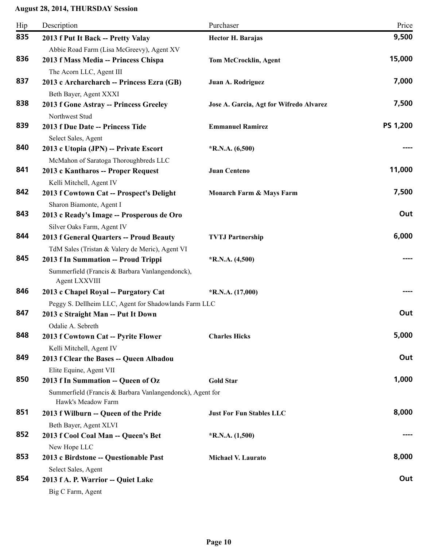| Hip | Description                                                      | Purchaser                               | Price    |
|-----|------------------------------------------------------------------|-----------------------------------------|----------|
| 835 | 2013 f Put It Back -- Pretty Valay                               | <b>Hector H. Barajas</b>                | 9,500    |
|     | Abbie Road Farm (Lisa McGreevy), Agent XV                        |                                         |          |
| 836 | 2013 f Mass Media -- Princess Chispa                             | <b>Tom McCrocklin, Agent</b>            | 15,000   |
|     | The Acorn LLC, Agent III                                         |                                         |          |
| 837 | 2013 c Archarcharch -- Princess Ezra (GB)                        | Juan A. Rodriguez                       | 7,000    |
|     | Beth Bayer, Agent XXXI                                           |                                         |          |
| 838 | 2013 f Gone Astray -- Princess Greeley                           | Jose A. Garcia, Agt for Wifredo Alvarez | 7,500    |
|     | Northwest Stud                                                   |                                         |          |
| 839 | 2013 f Due Date -- Princess Tide                                 | <b>Emmanuel Ramirez</b>                 | PS 1,200 |
|     | Select Sales, Agent                                              |                                         |          |
| 840 | 2013 c Utopia (JPN) -- Private Escort                            | $*R.N.A. (6,500)$                       |          |
|     | McMahon of Saratoga Thoroughbreds LLC                            |                                         |          |
| 841 | 2013 c Kantharos -- Proper Request                               | <b>Juan Centeno</b>                     | 11,000   |
|     | Kelli Mitchell, Agent IV                                         |                                         |          |
| 842 | 2013 f Cowtown Cat -- Prospect's Delight                         | Monarch Farm & Mays Farm                | 7,500    |
|     | Sharon Biamonte, Agent I                                         |                                         |          |
| 843 | 2013 c Ready's Image -- Prosperous de Oro                        |                                         | Out      |
|     | Silver Oaks Farm, Agent IV                                       |                                         |          |
| 844 | 2013 f General Quarters -- Proud Beauty                          | <b>TVTJ Partnership</b>                 | 6,000    |
|     | TdM Sales (Tristan & Valery de Meric), Agent VI                  |                                         |          |
| 845 | 2013 f In Summation -- Proud Trippi                              | $*R.N.A. (4,500)$                       |          |
|     | Summerfield (Francis & Barbara Vanlangendonck),<br>Agent LXXVIII |                                         |          |
| 846 | 2013 c Chapel Royal -- Purgatory Cat                             | $*R.N.A. (17,000)$                      |          |
|     | Peggy S. Dellheim LLC, Agent for Shadowlands Farm LLC            |                                         |          |
| 847 | 2013 c Straight Man -- Put It Down                               |                                         | Out      |
|     | Odalie A. Sebreth                                                |                                         |          |
| 848 | 2013 f Cowtown Cat -- Pyrite Flower                              | <b>Charles Hicks</b>                    | 5,000    |
|     | Kelli Mitchell, Agent IV                                         |                                         |          |
| 849 | 2013 f Clear the Bases -- Queen Albadou                          |                                         | Out      |
|     | Elite Equine, Agent VII                                          |                                         |          |
| 850 | 2013 f In Summation -- Queen of Oz                               | <b>Gold Star</b>                        | 1,000    |
|     | Summerfield (Francis & Barbara Vanlangendonck), Agent for        |                                         |          |
|     | Hawk's Meadow Farm                                               |                                         |          |
| 851 | 2013 f Wilburn -- Queen of the Pride                             | <b>Just For Fun Stables LLC</b>         | 8,000    |
|     | Beth Bayer, Agent XLVI                                           |                                         |          |
| 852 | 2013 f Cool Coal Man -- Queen's Bet                              | $*$ R.N.A. $(1,500)$                    |          |
|     | New Hope LLC                                                     |                                         |          |
| 853 | 2013 c Birdstone -- Questionable Past                            | <b>Michael V. Laurato</b>               | 8,000    |
|     | Select Sales, Agent                                              |                                         |          |
| 854 | 2013 f A. P. Warrior -- Quiet Lake                               |                                         | Out      |
|     | Big C Farm, Agent                                                |                                         |          |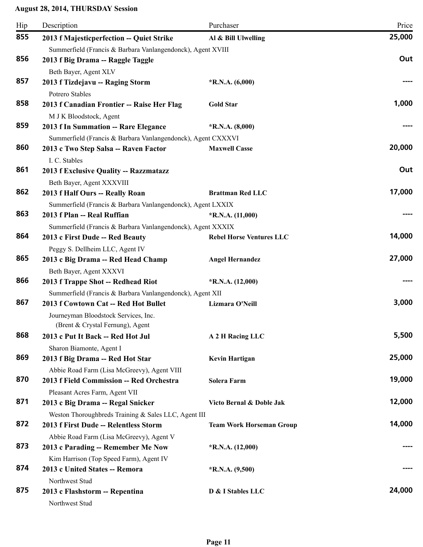| Hip | Description                                                  | Purchaser                       | Price  |
|-----|--------------------------------------------------------------|---------------------------------|--------|
| 855 | 2013 f Majesticperfection -- Quiet Strike                    | Al & Bill Ulwelling             | 25,000 |
|     | Summerfield (Francis & Barbara Vanlangendonck), Agent XVIII  |                                 |        |
| 856 | 2013 f Big Drama -- Raggle Taggle                            |                                 | Out    |
|     | Beth Bayer, Agent XLV                                        |                                 |        |
| 857 | 2013 f Tizdejavu -- Raging Storm                             | $*$ R.N.A. $(6,000)$            |        |
|     | Potrero Stables                                              |                                 |        |
| 858 | 2013 f Canadian Frontier -- Raise Her Flag                   | <b>Gold Star</b>                | 1,000  |
|     | M J K Bloodstock, Agent                                      |                                 |        |
| 859 | 2013 f In Summation -- Rare Elegance                         | $*$ R.N.A. $(8,000)$            |        |
|     | Summerfield (Francis & Barbara Vanlangendonck), Agent CXXXVI |                                 |        |
| 860 | 2013 c Two Step Salsa -- Raven Factor                        | <b>Maxwell Casse</b>            | 20,000 |
|     | I. C. Stables                                                |                                 |        |
| 861 | 2013 f Exclusive Quality -- Razzmatazz                       |                                 | Out    |
|     | Beth Bayer, Agent XXXVIII                                    |                                 |        |
| 862 | 2013 f Half Ours -- Really Roan                              | <b>Brattman Red LLC</b>         | 17,000 |
|     | Summerfield (Francis & Barbara Vanlangendonck), Agent LXXIX  |                                 |        |
| 863 | 2013 f Plan -- Real Ruffian                                  | $*$ R.N.A. $(11,000)$           |        |
|     | Summerfield (Francis & Barbara Vanlangendonck), Agent XXXIX  |                                 |        |
| 864 | 2013 c First Dude -- Red Beauty                              | <b>Rebel Horse Ventures LLC</b> | 14,000 |
|     | Peggy S. Dellheim LLC, Agent IV                              |                                 |        |
| 865 | 2013 c Big Drama -- Red Head Champ                           | <b>Angel Hernandez</b>          | 27,000 |
|     | Beth Bayer, Agent XXXVI                                      |                                 |        |
| 866 | 2013 f Trappe Shot -- Redhead Riot                           | $*R.N.A. (12,000)$              |        |
|     | Summerfield (Francis & Barbara Vanlangendonck), Agent XII    |                                 |        |
| 867 | 2013 f Cowtown Cat -- Red Hot Bullet                         | Lizmara O'Neill                 | 3,000  |
|     | Journeyman Bloodstock Services, Inc.                         |                                 |        |
|     | (Brent $&$ Crystal Fernung), Agent                           |                                 |        |
| 868 | 2013 c Put It Back -- Red Hot Jul                            | A 2 H Racing LLC                | 5,500  |
|     | Sharon Biamonte, Agent I                                     |                                 |        |
| 869 | 2013 f Big Drama -- Red Hot Star                             | Kevin Hartigan                  | 25,000 |
|     | Abbie Road Farm (Lisa McGreevy), Agent VIII                  |                                 |        |
| 870 | 2013 f Field Commission -- Red Orchestra                     | <b>Solera Farm</b>              | 19,000 |
|     | Pleasant Acres Farm, Agent VII                               |                                 |        |
| 871 | 2013 c Big Drama -- Regal Snicker                            | Victo Bernal & Doble Jak        | 12,000 |
|     | Weston Thoroughbreds Training & Sales LLC, Agent III         |                                 |        |
| 872 | 2013 f First Dude -- Relentless Storm                        | <b>Team Work Horseman Group</b> | 14,000 |
|     | Abbie Road Farm (Lisa McGreevy), Agent V                     |                                 |        |
| 873 | 2013 c Parading -- Remember Me Now                           | $*R.N.A. (12,000)$              |        |
|     | Kim Harrison (Top Speed Farm), Agent IV                      |                                 |        |
| 874 | 2013 c United States -- Remora                               | $*R.N.A. (9,500)$               |        |
|     | Northwest Stud                                               |                                 |        |
| 875 | 2013 c Flashstorm -- Repentina                               | D & I Stables LLC               | 24,000 |
|     | Northwest Stud                                               |                                 |        |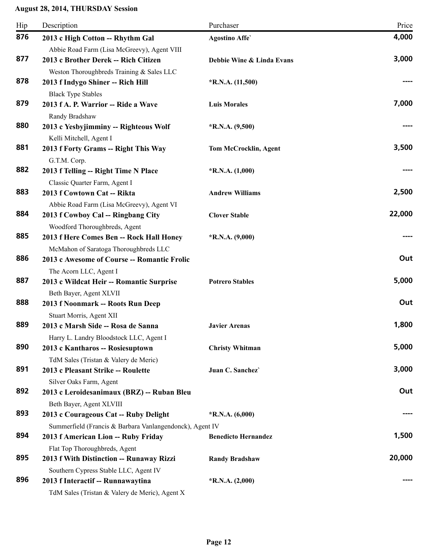| Hip | Description                                                                                                        | Purchaser                    | Price  |
|-----|--------------------------------------------------------------------------------------------------------------------|------------------------------|--------|
| 876 | 2013 c High Cotton -- Rhythm Gal                                                                                   | <b>Agostino Affe</b>         | 4,000  |
| 877 | Abbie Road Farm (Lisa McGreevy), Agent VIII<br>2013 c Brother Derek -- Rich Citizen                                | Debbie Wine & Linda Evans    | 3,000  |
| 878 | Weston Thoroughbreds Training & Sales LLC<br>2013 f Indygo Shiner -- Rich Hill                                     | $*$ R.N.A. $(11,500)$        |        |
| 879 | <b>Black Type Stables</b><br>2013 f A. P. Warrior -- Ride a Wave<br>Randy Bradshaw                                 | <b>Luis Morales</b>          | 7,000  |
| 880 | 2013 c Yesbyjimminy -- Righteous Wolf<br>Kelli Mitchell, Agent I                                                   | $*R.N.A. (9,500)$            |        |
| 881 | 2013 f Forty Grams -- Right This Way<br>G.T.M. Corp.                                                               | <b>Tom McCrocklin, Agent</b> | 3,500  |
| 882 | 2013 f Telling -- Right Time N Place<br>Classic Quarter Farm, Agent I                                              | $*$ R.N.A. $(1,000)$         |        |
| 883 | 2013 f Cowtown Cat -- Rikta<br>Abbie Road Farm (Lisa McGreevy), Agent VI                                           | <b>Andrew Williams</b>       | 2,500  |
| 884 | 2013 f Cowboy Cal -- Ringbang City<br>Woodford Thoroughbreds, Agent                                                | <b>Clover Stable</b>         | 22,000 |
| 885 | 2013 f Here Comes Ben -- Rock Hall Honey<br>McMahon of Saratoga Thoroughbreds LLC                                  | $*R.N.A. (9,000)$            |        |
| 886 | 2013 c Awesome of Course -- Romantic Frolic                                                                        |                              | Out    |
| 887 | The Acorn LLC, Agent I<br>2013 c Wildcat Heir -- Romantic Surprise                                                 | <b>Potrero Stables</b>       | 5,000  |
| 888 | Beth Bayer, Agent XLVII<br>2013 f Noonmark -- Roots Run Deep                                                       |                              | Out    |
| 889 | Stuart Morris, Agent XII<br>2013 c Marsh Side -- Rosa de Sanna<br>Harry L. Landry Bloodstock LLC, Agent I          | <b>Javier Arenas</b>         | 1,800  |
| 890 | 2013 c Kantharos -- Rosiesuptown<br>TdM Sales (Tristan & Valery de Meric)                                          | <b>Christy Whitman</b>       | 5,000  |
| 891 | 2013 c Pleasant Strike -- Roulette<br>Silver Oaks Farm, Agent                                                      | Juan C. Sanchez              | 3,000  |
| 892 | 2013 c Leroidesanimaux (BRZ) -- Ruban Bleu<br>Beth Bayer, Agent XLVIII                                             |                              | Out    |
| 893 | 2013 c Courageous Cat -- Ruby Delight                                                                              | $*R.N.A. (6,000)$            |        |
| 894 | Summerfield (Francis & Barbara Vanlangendonck), Agent IV<br>2013 f American Lion -- Ruby Friday                    | <b>Benedicto Hernandez</b>   | 1,500  |
| 895 | Flat Top Thoroughbreds, Agent<br>2013 f With Distinction -- Runaway Rizzi<br>Southern Cypress Stable LLC, Agent IV | <b>Randy Bradshaw</b>        | 20,000 |
| 896 | 2013 f Interactif -- Runnawaytina<br>TdM Sales (Tristan & Valery de Meric), Agent X                                | $*R.N.A. (2,000)$            |        |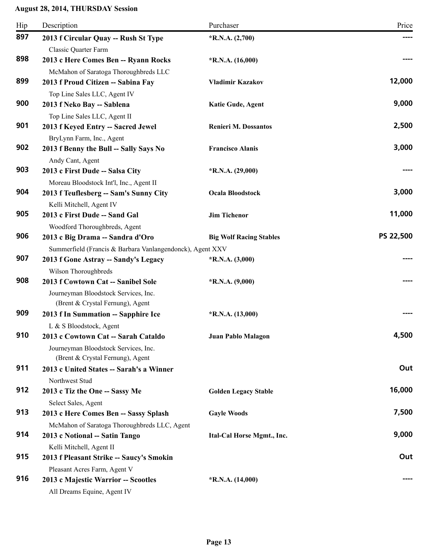| Hip | Description                                                                                                                                | Purchaser                      | Price     |
|-----|--------------------------------------------------------------------------------------------------------------------------------------------|--------------------------------|-----------|
| 897 | 2013 f Circular Quay -- Rush St Type                                                                                                       | $*R.N.A. (2,700)$              | ----      |
| 898 | Classic Quarter Farm<br>2013 c Here Comes Ben -- Ryann Rocks                                                                               | $*R.N.A. (16,000)$             |           |
| 899 | McMahon of Saratoga Thoroughbreds LLC<br>2013 f Proud Citizen -- Sabina Fay                                                                | <b>Vladimir Kazakov</b>        | 12,000    |
| 900 | Top Line Sales LLC, Agent IV<br>2013 f Neko Bay -- Sablena                                                                                 | <b>Katie Gude, Agent</b>       | 9,000     |
| 901 | Top Line Sales LLC, Agent II<br>2013 f Keyed Entry -- Sacred Jewel                                                                         | <b>Renieri M. Dossantos</b>    | 2,500     |
| 902 | BryLynn Farm, Inc., Agent<br>2013 f Benny the Bull -- Sally Says No<br>Andy Cant, Agent                                                    | <b>Francisco Alanis</b>        | 3,000     |
| 903 | 2013 c First Dude -- Salsa City<br>Moreau Bloodstock Int'l, Inc., Agent II                                                                 | $*R.N.A. (29,000)$             |           |
| 904 | 2013 f Teuflesberg -- Sam's Sunny City<br>Kelli Mitchell, Agent IV                                                                         | <b>Ocala Bloodstock</b>        | 3,000     |
| 905 | 2013 c First Dude -- Sand Gal<br>Woodford Thoroughbreds, Agent                                                                             | <b>Jim Tichenor</b>            | 11,000    |
| 906 | 2013 c Big Drama -- Sandra d'Oro                                                                                                           | <b>Big Wolf Racing Stables</b> | PS 22,500 |
| 907 | Summerfield (Francis & Barbara Vanlangendonck), Agent XXV<br>2013 f Gone Astray -- Sandy's Legacy<br>Wilson Thoroughbreds                  | $*R.N.A. (3,000)$              |           |
| 908 | 2013 f Cowtown Cat -- Sanibel Sole<br>Journeyman Bloodstock Services, Inc.<br>(Brent & Crystal Fernung), Agent                             | $*R.N.A. (9,000)$              |           |
| 909 | 2013 f In Summation -- Sapphire Ice                                                                                                        | $*R.N.A. (13,000)$             |           |
| 910 | L & S Bloodstock, Agent<br>2013 c Cowtown Cat -- Sarah Cataldo<br>Journeyman Bloodstock Services, Inc.<br>(Brent & Crystal Fernung), Agent | Juan Pablo Malagon             | 4,500     |
| 911 | 2013 c United States -- Sarah's a Winner<br>Northwest Stud                                                                                 |                                | Out       |
| 912 | 2013 c Tiz the One -- Sassy Me<br>Select Sales, Agent                                                                                      | <b>Golden Legacy Stable</b>    | 16,000    |
| 913 | 2013 c Here Comes Ben -- Sassy Splash<br>McMahon of Saratoga Thoroughbreds LLC, Agent                                                      | <b>Gayle Woods</b>             | 7,500     |
| 914 | 2013 c Notional -- Satin Tango                                                                                                             | Ital-Cal Horse Mgmt., Inc.     | 9,000     |
| 915 | Kelli Mitchell, Agent II<br>2013 f Pleasant Strike -- Saucy's Smokin                                                                       |                                | Out       |
| 916 | Pleasant Acres Farm, Agent V<br>2013 c Majestic Warrior -- Scootles<br>All Dreams Equine, Agent IV                                         | $*R.N.A. (14,000)$             |           |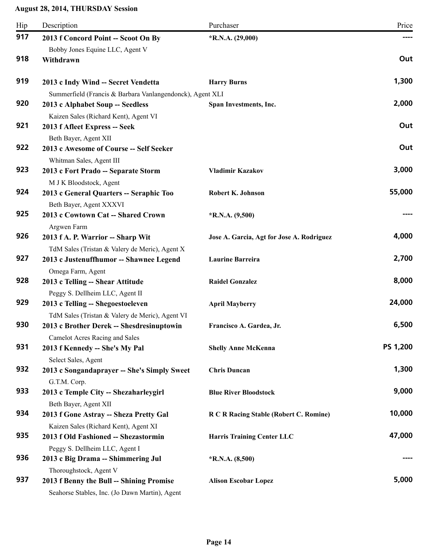| Hip | Description                                               | Purchaser                                 | Price    |
|-----|-----------------------------------------------------------|-------------------------------------------|----------|
| 917 | 2013 f Concord Point -- Scoot On By                       | $*R.N.A. (29,000)$                        |          |
|     | Bobby Jones Equine LLC, Agent V                           |                                           |          |
| 918 | Withdrawn                                                 |                                           | Out      |
| 919 | 2013 c Indy Wind -- Secret Vendetta                       | <b>Harry Burns</b>                        | 1,300    |
|     | Summerfield (Francis & Barbara Vanlangendonck), Agent XLI |                                           |          |
| 920 | 2013 c Alphabet Soup -- Seedless                          | Span Investments, Inc.                    | 2,000    |
|     | Kaizen Sales (Richard Kent), Agent VI                     |                                           |          |
| 921 | 2013 f Afleet Express -- Seek                             |                                           | Out      |
|     | Beth Bayer, Agent XII                                     |                                           |          |
| 922 | 2013 c Awesome of Course -- Self Seeker                   |                                           | Out      |
|     | Whitman Sales, Agent III                                  |                                           |          |
| 923 | 2013 c Fort Prado -- Separate Storm                       | <b>Vladimir Kazakov</b>                   | 3,000    |
|     | M J K Bloodstock, Agent                                   |                                           |          |
| 924 | 2013 c General Quarters -- Seraphic Too                   | Robert K. Johnson                         | 55,000   |
|     | Beth Bayer, Agent XXXVI                                   |                                           |          |
| 925 | 2013 c Cowtown Cat -- Shared Crown                        | $*R.N.A. (9,500)$                         |          |
|     | Argwen Farm                                               |                                           |          |
| 926 | 2013 f A. P. Warrior -- Sharp Wit                         | Jose A. Garcia, Agt for Jose A. Rodriguez | 4,000    |
| 927 | TdM Sales (Tristan & Valery de Meric), Agent X            | Laurine Barreira                          | 2,700    |
|     | 2013 c Justenuffhumor -- Shawnee Legend                   |                                           |          |
| 928 | Omega Farm, Agent<br>2013 c Telling -- Shear Attitude     | <b>Raidel Gonzalez</b>                    | 8,000    |
|     | Peggy S. Dellheim LLC, Agent II                           |                                           |          |
| 929 | 2013 c Telling -- Shegoestoeleven                         | <b>April Mayberry</b>                     | 24,000   |
|     | TdM Sales (Tristan & Valery de Meric), Agent VI           |                                           |          |
| 930 | 2013 c Brother Derek -- Shesdresinuptowin                 | Francisco A. Gardea, Jr.                  | 6,500    |
|     | <b>Camelot Acres Racing and Sales</b>                     |                                           |          |
| 931 | 2013 f Kennedy -- She's My Pal                            | <b>Shelly Anne McKenna</b>                | PS 1,200 |
|     | Select Sales, Agent                                       |                                           |          |
| 932 | 2013 c Songandaprayer -- She's Simply Sweet               | <b>Chris Duncan</b>                       | 1,300    |
|     | G.T.M. Corp.                                              |                                           |          |
| 933 | 2013 c Temple City -- Shezaharleygirl                     | <b>Blue River Bloodstock</b>              | 9,000    |
|     | Beth Bayer, Agent XII                                     |                                           |          |
| 934 | 2013 f Gone Astray -- Sheza Pretty Gal                    | R C R Racing Stable (Robert C. Romine)    | 10,000   |
|     | Kaizen Sales (Richard Kent), Agent XI                     |                                           |          |
| 935 | 2013 f Old Fashioned -- Shezastormin                      | <b>Harris Training Center LLC</b>         | 47,000   |
|     | Peggy S. Dellheim LLC, Agent I                            |                                           |          |
| 936 | 2013 c Big Drama -- Shimmering Jul                        | $*R.N.A. (8,500)$                         |          |
|     | Thoroughstock, Agent V                                    |                                           |          |
| 937 | 2013 f Benny the Bull -- Shining Promise                  | <b>Alison Escobar Lopez</b>               | 5,000    |
|     | Seahorse Stables, Inc. (Jo Dawn Martin), Agent            |                                           |          |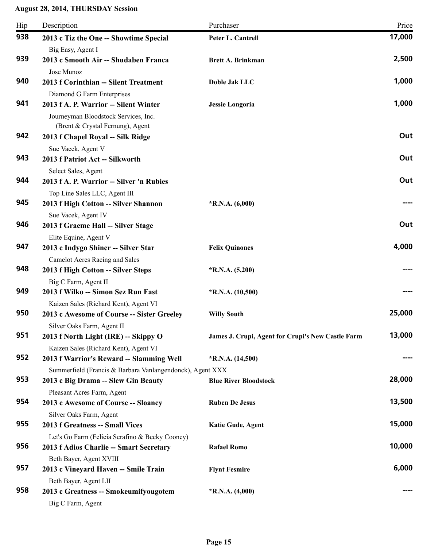| Hip | Description                                                              | Purchaser                                         | Price  |
|-----|--------------------------------------------------------------------------|---------------------------------------------------|--------|
| 938 | 2013 c Tiz the One -- Showtime Special                                   | Peter L. Cantrell                                 | 17,000 |
|     | Big Easy, Agent I                                                        |                                                   |        |
| 939 | 2013 c Smooth Air -- Shudaben Franca                                     | <b>Brett A. Brinkman</b>                          | 2,500  |
|     | Jose Munoz                                                               |                                                   |        |
| 940 | 2013 f Corinthian -- Silent Treatment                                    | Doble Jak LLC                                     | 1,000  |
|     | Diamond G Farm Enterprises                                               |                                                   |        |
| 941 | 2013 f A. P. Warrior -- Silent Winter                                    | <b>Jessie Longoria</b>                            | 1,000  |
|     | Journeyman Bloodstock Services, Inc.<br>(Brent & Crystal Fernung), Agent |                                                   |        |
| 942 | 2013 f Chapel Royal -- Silk Ridge                                        |                                                   | Out    |
|     | Sue Vacek, Agent V                                                       |                                                   |        |
| 943 | 2013 f Patriot Act -- Silkworth                                          |                                                   | Out    |
|     | Select Sales, Agent                                                      |                                                   |        |
| 944 | 2013 f A. P. Warrior -- Silver 'n Rubies                                 |                                                   | Out    |
|     | Top Line Sales LLC, Agent III                                            |                                                   |        |
| 945 | 2013 f High Cotton -- Silver Shannon                                     | $*R.N.A. (6,000)$                                 |        |
|     | Sue Vacek, Agent IV                                                      |                                                   |        |
| 946 | 2013 f Graeme Hall -- Silver Stage                                       |                                                   | Out    |
|     | Elite Equine, Agent V                                                    |                                                   |        |
| 947 | 2013 c Indygo Shiner -- Silver Star                                      | <b>Felix Quinones</b>                             | 4,000  |
|     | <b>Camelot Acres Racing and Sales</b>                                    |                                                   |        |
| 948 | 2013 f High Cotton -- Silver Steps                                       | $*$ R.N.A. $(5,200)$                              |        |
|     | Big C Farm, Agent II                                                     |                                                   |        |
| 949 | 2013 f Wilko -- Simon Sez Run Fast                                       | $*R.N.A. (10,500)$                                |        |
|     | Kaizen Sales (Richard Kent), Agent VI                                    |                                                   |        |
| 950 | 2013 c Awesome of Course -- Sister Greeley                               | <b>Willy South</b>                                | 25,000 |
|     | Silver Oaks Farm, Agent II                                               |                                                   |        |
| 951 | 2013 f North Light (IRE) -- Skippy O                                     | James J. Crupi, Agent for Crupi's New Castle Farm | 13,000 |
|     | Kaizen Sales (Richard Kent), Agent VI                                    |                                                   |        |
| 952 | 2013 f Warrior's Reward -- Slamming Well                                 | $*R.N.A. (14,500)$                                | ----   |
|     | Summerfield (Francis & Barbara Vanlangendonck), Agent XXX                |                                                   |        |
| 953 | 2013 c Big Drama -- Slew Gin Beauty                                      | <b>Blue River Bloodstock</b>                      | 28,000 |
|     | Pleasant Acres Farm, Agent                                               |                                                   |        |
| 954 | 2013 c Awesome of Course -- Sloaney                                      | <b>Ruben De Jesus</b>                             | 13,500 |
|     | Silver Oaks Farm, Agent                                                  |                                                   |        |
| 955 | 2013 f Greatness -- Small Vices                                          | Katie Gude, Agent                                 | 15,000 |
|     | Let's Go Farm (Felicia Serafino & Becky Cooney)                          |                                                   |        |
| 956 | 2013 f Adios Charlie -- Smart Secretary                                  | <b>Rafael Romo</b>                                | 10,000 |
|     | Beth Bayer, Agent XVIII                                                  |                                                   |        |
| 957 | 2013 c Vineyard Haven -- Smile Train                                     | <b>Flynt Fesmire</b>                              | 6,000  |
|     | Beth Bayer, Agent LII                                                    |                                                   |        |
| 958 | 2013 c Greatness -- Smokeumifyougotem                                    | $*$ R.N.A. $(4,000)$                              |        |
|     | Big C Farm, Agent                                                        |                                                   |        |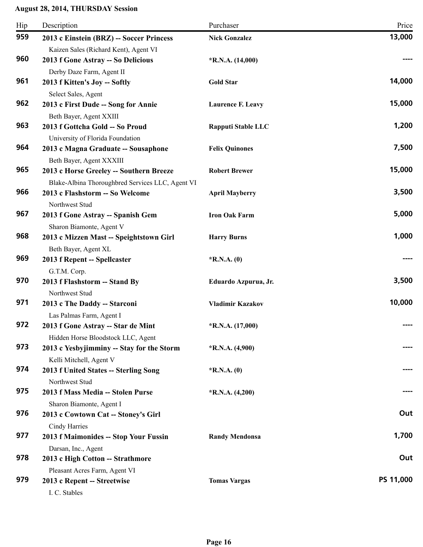| Hip | Description                                                                                 | Purchaser                 | Price     |
|-----|---------------------------------------------------------------------------------------------|---------------------------|-----------|
| 959 | 2013 c Einstein (BRZ) -- Soccer Princess<br>Kaizen Sales (Richard Kent), Agent VI           | <b>Nick Gonzalez</b>      | 13,000    |
| 960 | 2013 f Gone Astray -- So Delicious<br>Derby Daze Farm, Agent II                             | $*R.N.A. (14,000)$        |           |
| 961 | 2013 f Kitten's Joy -- Softly<br>Select Sales, Agent                                        | <b>Gold Star</b>          | 14,000    |
| 962 | 2013 c First Dude -- Song for Annie<br>Beth Bayer, Agent XXIII                              | <b>Laurence F. Leavy</b>  | 15,000    |
| 963 | 2013 f Gottcha Gold -- So Proud<br>University of Florida Foundation                         | <b>Rapputi Stable LLC</b> | 1,200     |
| 964 | 2013 c Magna Graduate -- Sousaphone<br>Beth Bayer, Agent XXXIII                             | <b>Felix Quinones</b>     | 7,500     |
| 965 | 2013 c Horse Greeley -- Southern Breeze<br>Blake-Albina Thoroughbred Services LLC, Agent VI | <b>Robert Brewer</b>      | 15,000    |
| 966 | 2013 c Flashstorm -- So Welcome<br>Northwest Stud                                           | <b>April Mayberry</b>     | 3,500     |
| 967 | 2013 f Gone Astray -- Spanish Gem<br>Sharon Biamonte, Agent V                               | <b>Iron Oak Farm</b>      | 5,000     |
| 968 | 2013 c Mizzen Mast -- Speightstown Girl<br>Beth Bayer, Agent XL                             | <b>Harry Burns</b>        | 1,000     |
| 969 | 2013 f Repent -- Spellcaster<br>G.T.M. Corp.                                                | $*$ R.N.A. $(0)$          |           |
| 970 | 2013 f Flashstorm -- Stand By<br>Northwest Stud                                             | Eduardo Azpurua, Jr.      | 3,500     |
| 971 | 2013 c The Daddy -- Starconi<br>Las Palmas Farm, Agent I                                    | <b>Vladimir Kazakov</b>   | 10,000    |
| 972 | 2013 f Gone Astray -- Star de Mint<br>Hidden Horse Bloodstock LLC, Agent                    | $*$ R.N.A. $(17,000)$     |           |
| 973 | 2013 c Yesbyjimminy -- Stay for the Storm<br>Kelli Mitchell, Agent V                        | $*R.N.A. (4,900)$         |           |
| 974 | 2013 f United States -- Sterling Song<br>Northwest Stud                                     | $*R.N.A. (0)$             |           |
| 975 | 2013 f Mass Media -- Stolen Purse<br>Sharon Biamonte, Agent I                               | $*R.N.A. (4,200)$         |           |
| 976 | 2013 c Cowtown Cat -- Stoney's Girl<br>Cindy Harries                                        |                           | Out       |
| 977 | 2013 f Maimonides -- Stop Your Fussin                                                       | <b>Randy Mendonsa</b>     | 1,700     |
| 978 | Darsan, Inc., Agent<br>2013 c High Cotton -- Strathmore                                     |                           | Out       |
| 979 | Pleasant Acres Farm, Agent VI<br>2013 c Repent -- Streetwise<br>I. C. Stables               | <b>Tomas Vargas</b>       | PS 11,000 |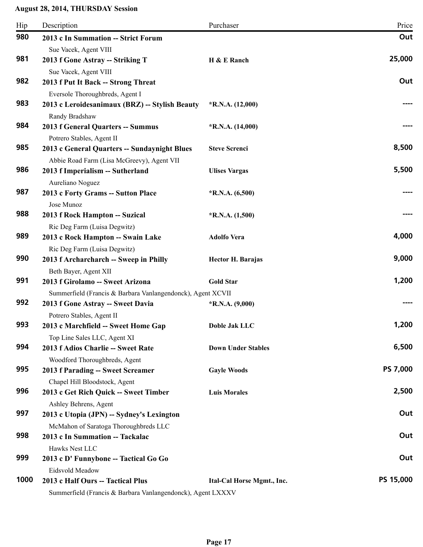| Hip  | Description                                                               | Purchaser                  | Price           |
|------|---------------------------------------------------------------------------|----------------------------|-----------------|
| 980  | 2013 c In Summation -- Strict Forum                                       |                            | Out             |
|      | Sue Vacek, Agent VIII                                                     |                            |                 |
| 981  | 2013 f Gone Astray -- Striking T                                          | H & E Ranch                | 25,000          |
|      | Sue Vacek, Agent VIII                                                     |                            |                 |
| 982  | 2013 f Put It Back -- Strong Threat                                       |                            | Out             |
|      | Eversole Thoroughbreds, Agent I                                           |                            |                 |
| 983  | 2013 c Leroidesanimaux (BRZ) -- Stylish Beauty                            | $*R.N.A. (12,000)$         |                 |
| 984  | Randy Bradshaw                                                            |                            |                 |
|      | 2013 f General Quarters -- Summus                                         | $*R.N.A. (14,000)$         |                 |
| 985  | Potrero Stables, Agent II<br>2013 c General Quarters -- Sundaynight Blues | <b>Steve Screnci</b>       | 8,500           |
|      | Abbie Road Farm (Lisa McGreevy), Agent VII                                |                            |                 |
| 986  | 2013 f Imperialism -- Sutherland                                          | <b>Ulises Vargas</b>       | 5,500           |
|      | Aureliano Noguez                                                          |                            |                 |
| 987  | 2013 c Forty Grams -- Sutton Place                                        | $*R.N.A. (6,500)$          |                 |
|      | Jose Munoz                                                                |                            |                 |
| 988  | 2013 f Rock Hampton -- Suzical                                            | $*$ R.N.A. $(1,500)$       |                 |
|      | Ric Deg Farm (Luisa Degwitz)                                              |                            |                 |
| 989  | 2013 c Rock Hampton -- Swain Lake                                         | <b>Adolfo Vera</b>         | 4,000           |
|      | Ric Deg Farm (Luisa Degwitz)                                              |                            |                 |
| 990  | 2013 f Archarcharch -- Sweep in Philly                                    | <b>Hector H. Barajas</b>   | 9,000           |
|      | Beth Bayer, Agent XII                                                     |                            |                 |
| 991  | 2013 f Girolamo -- Sweet Arizona                                          | <b>Gold Star</b>           | 1,200           |
|      | Summerfield (Francis & Barbara Vanlangendonck), Agent XCVII               |                            |                 |
| 992  | 2013 f Gone Astray -- Sweet Davia                                         | $*R.N.A. (9,000)$          |                 |
| 993  | Potrero Stables, Agent II                                                 | Doble Jak LLC              | 1,200           |
|      | 2013 c Marchfield -- Sweet Home Gap                                       |                            |                 |
| 994  | Top Line Sales LLC, Agent XI<br>2013 f Adios Charlie -- Sweet Rate        | <b>Down Under Stables</b>  | 6,500           |
|      | Woodford Thoroughbreds, Agent                                             |                            |                 |
| 995  | 2013 f Parading -- Sweet Screamer                                         | <b>Gayle Woods</b>         | <b>PS 7,000</b> |
|      | Chapel Hill Bloodstock, Agent                                             |                            |                 |
| 996  | 2013 c Get Rich Quick -- Sweet Timber                                     | <b>Luis Morales</b>        | 2,500           |
|      | Ashley Behrens, Agent                                                     |                            |                 |
| 997  | 2013 c Utopia (JPN) -- Sydney's Lexington                                 |                            | Out             |
|      | McMahon of Saratoga Thoroughbreds LLC                                     |                            |                 |
| 998  | 2013 c In Summation -- Tackalac                                           |                            | Out             |
|      | Hawks Nest LLC                                                            |                            |                 |
| 999  | 2013 c D' Funnybone -- Tactical Go Go                                     |                            | Out             |
|      | Eidsvold Meadow                                                           |                            |                 |
| 1000 | 2013 c Half Ours -- Tactical Plus                                         | Ital-Cal Horse Mgmt., Inc. | PS 15,000       |
|      | Summerfield (Francis & Barbara Vanlangendonck), Agent LXXXV               |                            |                 |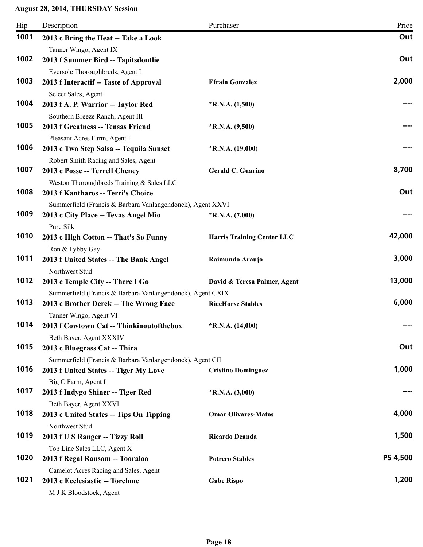| Hip  | Description                                                             | Purchaser                         | Price    |
|------|-------------------------------------------------------------------------|-----------------------------------|----------|
| 1001 | 2013 c Bring the Heat -- Take a Look                                    |                                   | Out      |
|      | Tanner Wingo, Agent IX                                                  |                                   |          |
| 1002 | 2013 f Summer Bird -- Tapitsdontlie                                     |                                   | Out      |
|      | Eversole Thoroughbreds, Agent I                                         |                                   |          |
| 1003 | 2013 f Interactif -- Taste of Approval                                  | <b>Efrain Gonzalez</b>            | 2,000    |
|      | Select Sales, Agent                                                     |                                   |          |
| 1004 | 2013 f A. P. Warrior -- Taylor Red                                      | $*R.N.A. (1,500)$                 |          |
|      | Southern Breeze Ranch, Agent III                                        |                                   |          |
| 1005 | 2013 f Greatness -- Tensas Friend                                       | $*R.N.A. (9,500)$                 |          |
|      | Pleasant Acres Farm, Agent I                                            |                                   |          |
| 1006 | 2013 c Two Step Salsa -- Tequila Sunset                                 | $*$ R.N.A. (19,000)               |          |
|      | Robert Smith Racing and Sales, Agent                                    |                                   |          |
| 1007 | 2013 c Posse -- Terrell Cheney                                          | Gerald C. Guarino                 | 8,700    |
|      | Weston Thoroughbreds Training & Sales LLC                               |                                   |          |
| 1008 | 2013 f Kantharos -- Terri's Choice                                      |                                   | Out      |
|      | Summerfield (Francis & Barbara Vanlangendonck), Agent XXVI              |                                   |          |
| 1009 | 2013 c City Place -- Tevas Angel Mio                                    | *R.N.A. (7,000)                   |          |
|      | Pure Silk                                                               |                                   |          |
| 1010 | 2013 c High Cotton -- That's So Funny                                   | <b>Harris Training Center LLC</b> | 42,000   |
|      | Ron & Lybby Gay                                                         |                                   |          |
| 1011 | 2013 f United States -- The Bank Angel                                  | Raimundo Araujo                   | 3,000    |
|      | Northwest Stud                                                          |                                   |          |
| 1012 | 2013 c Temple City -- There I Go                                        | David & Teresa Palmer, Agent      | 13,000   |
|      | Summerfield (Francis & Barbara Vanlangendonck), Agent CXIX              |                                   |          |
| 1013 | 2013 c Brother Derek -- The Wrong Face                                  | <b>RiceHorse Stables</b>          | 6,000    |
|      | Tanner Wingo, Agent VI                                                  |                                   |          |
| 1014 | 2013 f Cowtown Cat -- Thinkinoutofthebox                                | $*$ R.N.A. (14,000)               |          |
|      | Beth Bayer, Agent XXXIV                                                 |                                   |          |
| 1015 | 2013 c Bluegrass Cat -- Thira                                           |                                   | Out      |
|      | Summerfield (Francis & Barbara Vanlangendonck), Agent CII               |                                   |          |
| 1016 | 2013 f United States -- Tiger My Love                                   | <b>Cristino Dominguez</b>         | 1,000    |
| 1017 | Big C Farm, Agent I                                                     |                                   |          |
|      | 2013 f Indygo Shiner -- Tiger Red                                       | $*R.N.A. (3,000)$                 |          |
| 1018 | Beth Bayer, Agent XXVI                                                  |                                   | 4,000    |
|      | 2013 c United States -- Tips On Tipping                                 | <b>Omar Olivares-Matos</b>        |          |
| 1019 | Northwest Stud                                                          |                                   | 1,500    |
|      | 2013 f U S Ranger -- Tizzy Roll                                         | Ricardo Deanda                    |          |
| 1020 | Top Line Sales LLC, Agent X                                             |                                   | PS 4,500 |
|      | 2013 f Regal Ransom -- Tooraloo                                         | <b>Potrero Stables</b>            |          |
| 1021 | Camelot Acres Racing and Sales, Agent<br>2013 c Ecclesiastic -- Torchme |                                   | 1,200    |
|      |                                                                         | <b>Gabe Rispo</b>                 |          |
|      | M J K Bloodstock, Agent                                                 |                                   |          |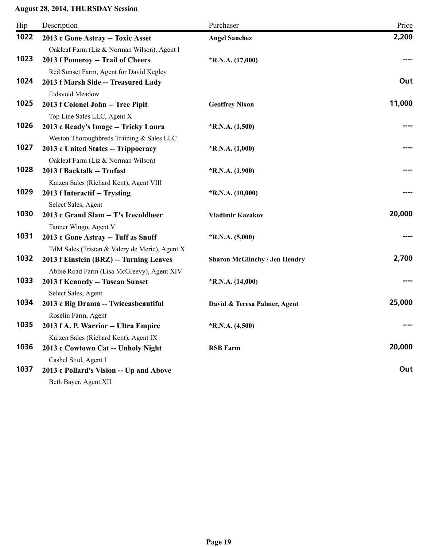| Hip  | Description                                                                   | Purchaser                            | Price  |
|------|-------------------------------------------------------------------------------|--------------------------------------|--------|
| 1022 | 2013 c Gone Astray -- Toxic Asset                                             | <b>Angel Sanchez</b>                 | 2,200  |
|      | Oakleaf Farm (Liz & Norman Wilson), Agent I                                   |                                      |        |
| 1023 | 2013 f Pomeroy -- Trail of Cheers                                             | $*R.N.A. (17,000)$                   |        |
|      | Red Sunset Farm, Agent for David Kegley                                       |                                      |        |
| 1024 | 2013 f Marsh Side -- Treasured Lady                                           |                                      | Out    |
|      | Eidsvold Meadow                                                               |                                      |        |
| 1025 | 2013 f Colonel John -- Tree Pipit                                             | <b>Geoffrey Nixon</b>                | 11,000 |
|      | Top Line Sales LLC, Agent X                                                   |                                      |        |
| 1026 | 2013 c Ready's Image -- Tricky Laura                                          | $*$ R.N.A. $(1,500)$                 |        |
|      | Weston Thoroughbreds Training & Sales LLC                                     |                                      |        |
| 1027 | 2013 c United States -- Trippocracy                                           | $*$ R.N.A. $(1,000)$                 |        |
|      | Oakleaf Farm (Liz & Norman Wilson)                                            |                                      |        |
| 1028 | 2013 f Backtalk -- Trufast                                                    | $*R.N.A. (1,900)$                    |        |
|      | Kaizen Sales (Richard Kent), Agent VIII                                       |                                      |        |
| 1029 | 2013 f Interactif -- Trysting                                                 | $*R.N.A. (10,000)$                   |        |
|      | Select Sales, Agent                                                           |                                      |        |
| 1030 | 2013 c Grand Slam -- T's Icecoldbeer                                          | Vladimir Kazakov                     | 20,000 |
| 1031 | Tanner Wingo, Agent V                                                         |                                      |        |
|      | 2013 c Gone Astray -- Tuff as Snuff                                           | $*R.N.A. (5,000)$                    |        |
| 1032 | TdM Sales (Tristan & Valery de Meric), Agent X                                |                                      | 2,700  |
|      | 2013 f Einstein (BRZ) -- Turning Leaves                                       | <b>Sharon McGlinchy / Jen Hendry</b> |        |
| 1033 | Abbie Road Farm (Lisa McGreevy), Agent XIV<br>2013 f Kennedy -- Tuscan Sunset | $*$ R.N.A. $(14,000)$                |        |
|      |                                                                               |                                      |        |
| 1034 | Select Sales, Agent<br>2013 c Big Drama -- Twiceasbeautiful                   | David & Teresa Palmer, Agent         | 25,000 |
|      | Roselin Farm, Agent                                                           |                                      |        |
| 1035 | 2013 f A. P. Warrior -- Ultra Empire                                          | $*R.N.A. (4,500)$                    |        |
|      | Kaizen Sales (Richard Kent), Agent IX                                         |                                      |        |
| 1036 | 2013 c Cowtown Cat -- Unholy Night                                            | <b>RSB Farm</b>                      | 20,000 |
|      | Cashel Stud, Agent I                                                          |                                      |        |
| 1037 | 2013 c Pollard's Vision -- Up and Above                                       |                                      | Out    |
|      | Beth Bayer, Agent XII                                                         |                                      |        |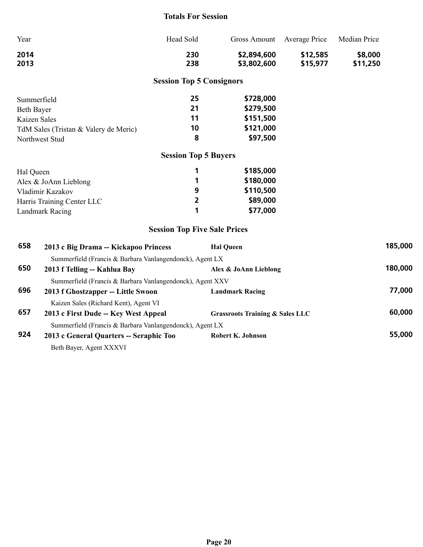#### **Totals For Session**

| Year | Head Sold | Gross Amount Average Price |          | Median Price |
|------|-----------|----------------------------|----------|--------------|
| 2014 | 230       | \$2,894,600                | \$12,585 | \$8,000      |
| 2013 | 238       | \$3,802,600                | \$15,977 | \$11,250     |

## **Session Top 5 Consignors**

| Summerfield                           | 25  | \$728,000 |
|---------------------------------------|-----|-----------|
| Beth Bayer                            | -21 | \$279,500 |
| Kaizen Sales                          | 11  | \$151,500 |
| TdM Sales (Tristan & Valery de Meric) | 10  | \$121,000 |
| Northwest Stud                        | 8   | \$97,500  |

## **Session Top 5 Buyers**

| Hal Queen                  |   | \$185,000 |
|----------------------------|---|-----------|
| Alex $&$ JoAnn Lieblong    |   | \$180,000 |
| Vladimir Kazakov           | 9 | \$110,500 |
| Harris Training Center LLC | 2 | \$89,000  |
| Landmark Racing            |   | \$77,000  |

## **Session Top Five Sale Prices**

| 658 | 2013 c Big Drama -- Kickapoo Princess                     | <b>Hal Oueen</b>                           | 185,000 |
|-----|-----------------------------------------------------------|--------------------------------------------|---------|
|     | Summerfield (Francis & Barbara Vanlangendonck), Agent LX  |                                            |         |
| 650 | 2013 f Telling -- Kahlua Bay                              | Alex & JoAnn Lieblong                      | 180,000 |
|     | Summerfield (Francis & Barbara Vanlangendonck), Agent XXV |                                            |         |
| 696 | 2013 f Ghostzapper -- Little Swoon                        | <b>Landmark Racing</b>                     | 77,000  |
|     | Kaizen Sales (Richard Kent), Agent VI                     |                                            |         |
| 657 | 2013 c First Dude -- Key West Appeal                      | <b>Grassroots Training &amp; Sales LLC</b> | 60,000  |
|     | Summerfield (Francis & Barbara Vanlangendonck), Agent LX  |                                            |         |
| 924 | 2013 c General Quarters -- Seraphic Too                   | Robert K. Johnson                          | 55,000  |
|     | Beth Bayer, Agent XXXVI                                   |                                            |         |